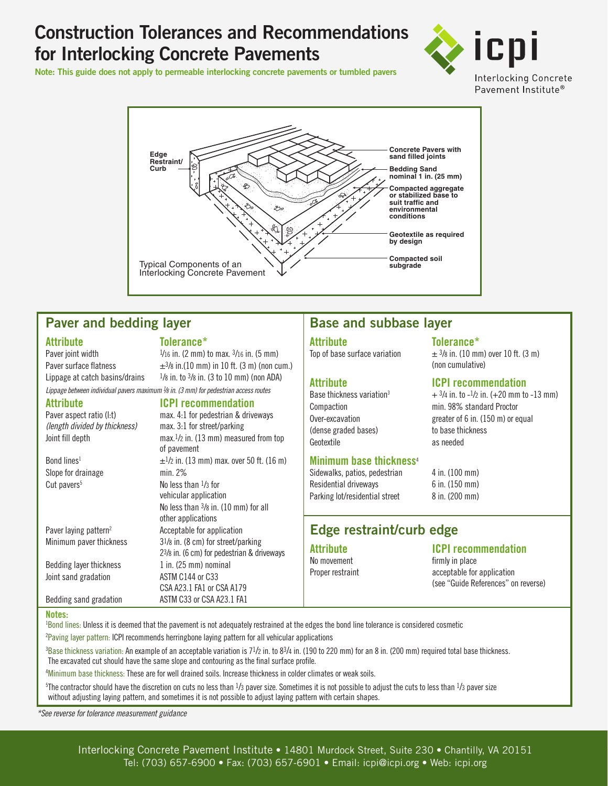# **Construction Tolerances and Recommendations for Interlocking Concrete Pavements**

**Note: This guide does not apply to permeable interlocking concrete pavements or tumbled pavers**





## **Paver and bedding layer**

**Attribute Tolerance\***<br>Paver joint width **The State of the Up and The Place Place Place Place Place Place Place Place Place Place Place P** 

 $1/16$  in. (2 mm) to max.  $3/16$  in. (5 mm) Paver surface flatness  $\pm$ 3/8 in.(10 mm) in 10 ft. (3 m) (non cum.) Lippage at catch basins/drains  $1/8$  in. to  $3/8$  in. (3 to 10 mm) (non ADA) *Lippage between individual pavers maximum 1 /8 in. (3 mm) for pedestrian access routes*

*(length divided by thickness)* max. 3:1 for street/parking

Slope for drainage min. 2%

Bedding layer thickness  $1$  in. (25 mm) nominal Joint sand gradation ASTM C144 or C33

## **Attribute ICPI recommendation**<br> **Paver aspect ratio (I:t)** max. 4:1 for pedestrian & drive max. 4:1 for pedestrian & driveways

Joint fill depth max.1/2 in. (13 mm) measured from top of pavement Bond lines<sup>1</sup>  $\pm$ <sup>1</sup>/2 in. (13 mm) max. over 50 ft. (16 m) Cut pavers<sup>5</sup> No less than  $\frac{1}{3}$  for vehicular application No less than 3/8 in. (10 mm) for all other applications Paver laying pattern<sup>2</sup> Acceptable for application Minimum paver thickness  $3^{1}/8$  in. (8 cm) for street/parking 23/8 in. (6 cm) for pedestrian & driveways CSA A23.1 FA1 or CSA A179 Bedding sand gradation ASTM C33 or CSA A23.1 FA1

## **Base and subbase layer**

# **Attribute Tolerance\***

**Attribute ICPI recommendation** Compaction **Compaction** min. 98% standard Proctor Over-excavation greater of 6 in. (150 m) or equal (dense graded bases) to base thickness Geotextile as needed

## **Minimum base thickness**<sup>4</sup>

Sidewalks, patios, pedestrian 4 in. (100 mm) Residential driveways 6 in. (150 mm) Parking lot/residential street 8 in. (200 mm)

## **Edge restraint/curb edge**

No movement firmly in place

**Attribute ICPI recommendation**

Proper restraint acceptable for application (see "Guide References" on reverse)

 $\pm$  3/8 in. (10 mm) over 10 ft. (3 m)

 $+$  3/4 in. to  $-1/2$  in. ( $+20$  mm to  $-13$  mm)

(non cumulative)

**Notes:** 

1 Bond lines: Unless it is deemed that the pavement is not adequately restrained at the edges the bond line tolerance is considered cosmetic <sup>2</sup>Paving layer pattern: ICPI recommends herringbone laying pattern for all vehicular applications

 ${}^{3}$ Base thickness variation: An example of an acceptable variation is 7<sup>1</sup>/2 in. to 8<sup>3</sup>/4 in. (190 to 220 mm) for an 8 in. (200 mm) required total base thickness. The excavated cut should have the same slope and contouring as the final surface profile.

4 Minimum base thickness: These are for well drained soils. Increase thickness in colder climates or weak soils.

 $5$ The contractor should have the discretion on cuts no less than  $1/3$  paver size. Sometimes it is not possible to adjust the cuts to less than  $1/3$  paver size without adjusting laying pattern, and sometimes it is not possible to adjust laying pattern with certain shapes.

*\*See reverse for tolerance measurement guidance*